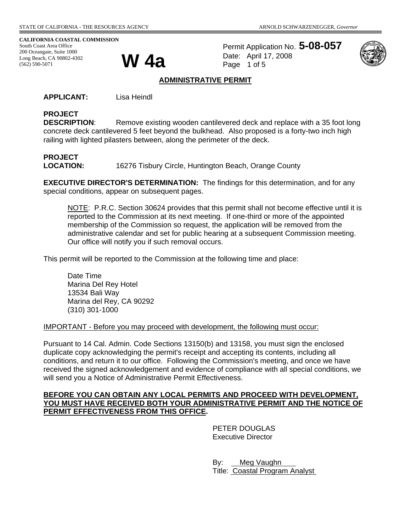**CALIFORNIA COASTAL COMMISSION**  South Coast Area Office

200 Oceangate, Suite 1000<br>Long Beach, CA 90802-4302<br>(562) 590-5071 Long Beach, CA 90802-4302 (562) 590-5071

Permit Application No. **5-08-057** Date: April 17, 2008 Page 1 of 5



### **ADMINISTRATIVE PERMIT**

**APPLICANT:** Lisa Heindl

# **PROJECT**

**DESCRIPTION:** Remove existing wooden cantilevered deck and replace with a 35 foot long concrete deck cantilevered 5 feet beyond the bulkhead. Also proposed is a forty-two inch high railing with lighted pilasters between, along the perimeter of the deck.

# **PROJECT**

**LOCATION:** 16276 Tisbury Circle, Huntington Beach, Orange County

**EXECUTIVE DIRECTOR'S DETERMINATION:** The findings for this determination, and for any special conditions, appear on subsequent pages.

NOTE: P.R.C. Section 30624 provides that this permit shall not become effective until it is reported to the Commission at its next meeting. If one-third or more of the appointed membership of the Commission so request, the application will be removed from the administrative calendar and set for public hearing at a subsequent Commission meeting. Our office will notify you if such removal occurs.

This permit will be reported to the Commission at the following time and place:

Date Time Marina Del Rey Hotel 13534 Bali Way Marina del Rey, CA 90292 (310) 301-1000

#### IMPORTANT - Before you may proceed with development, the following must occur:

Pursuant to 14 Cal. Admin. Code Sections 13150(b) and 13158, you must sign the enclosed duplicate copy acknowledging the permit's receipt and accepting its contents, including all conditions, and return it to our office. Following the Commission's meeting, and once we have received the signed acknowledgement and evidence of compliance with all special conditions, we will send you a Notice of Administrative Permit Effectiveness.

### **BEFORE YOU CAN OBTAIN ANY LOCAL PERMITS AND PROCEED WITH DEVELOPMENT, YOU MUST HAVE RECEIVED BOTH YOUR ADMINISTRATIVE PERMIT AND THE NOTICE OF PERMIT EFFECTIVENESS FROM THIS OFFICE.**

 PETER DOUGLAS Executive Director

 By: Meg Vaughn Title: Coastal Program Analyst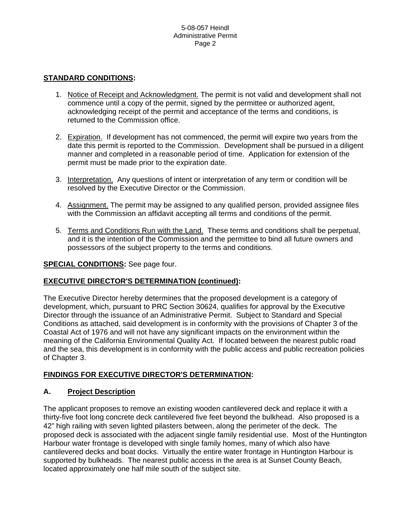### **STANDARD CONDITIONS:**

- 1. Notice of Receipt and Acknowledgment. The permit is not valid and development shall not commence until a copy of the permit, signed by the permittee or authorized agent, acknowledging receipt of the permit and acceptance of the terms and conditions, is returned to the Commission office.
- 2. Expiration. If development has not commenced, the permit will expire two years from the date this permit is reported to the Commission. Development shall be pursued in a diligent manner and completed in a reasonable period of time. Application for extension of the permit must be made prior to the expiration date.
- 3. Interpretation. Any questions of intent or interpretation of any term or condition will be resolved by the Executive Director or the Commission.
- 4. Assignment. The permit may be assigned to any qualified person, provided assignee files with the Commission an affidavit accepting all terms and conditions of the permit.
- 5. Terms and Conditions Run with the Land. These terms and conditions shall be perpetual, and it is the intention of the Commission and the permittee to bind all future owners and possessors of the subject property to the terms and conditions.

### **SPECIAL CONDITIONS:** See page four.

### **EXECUTIVE DIRECTOR'S DETERMINATION (continued):**

The Executive Director hereby determines that the proposed development is a category of development, which, pursuant to PRC Section 30624, qualifies for approval by the Executive Director through the issuance of an Administrative Permit. Subject to Standard and Special Conditions as attached, said development is in conformity with the provisions of Chapter 3 of the Coastal Act of 1976 and will not have any significant impacts on the environment within the meaning of the California Environmental Quality Act. If located between the nearest public road and the sea, this development is in conformity with the public access and public recreation policies of Chapter 3.

### **FINDINGS FOR EXECUTIVE DIRECTOR'S DETERMINATION:**

### **A. Project Description**

The applicant proposes to remove an existing wooden cantilevered deck and replace it with a thirty-five foot long concrete deck cantilevered five feet beyond the bulkhead. Also proposed is a 42" high railing with seven lighted pilasters between, along the perimeter of the deck. The proposed deck is associated with the adjacent single family residential use. Most of the Huntington Harbour water frontage is developed with single family homes, many of which also have cantilevered decks and boat docks. Virtually the entire water frontage in Huntington Harbour is supported by bulkheads. The nearest public access in the area is at Sunset County Beach, located approximately one half mile south of the subject site.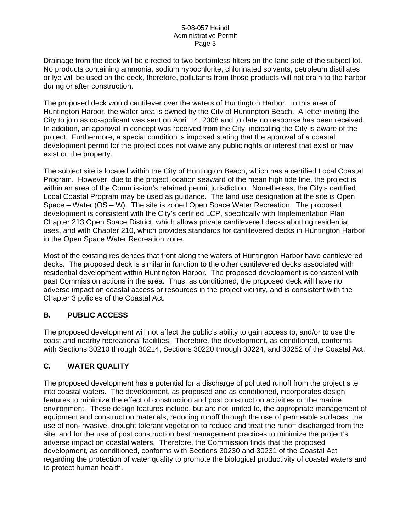#### 5-08-057 Heindl Administrative Permit Page 3

Drainage from the deck will be directed to two bottomless filters on the land side of the subject lot. No products containing ammonia, sodium hypochlorite, chlorinated solvents, petroleum distillates or lye will be used on the deck, therefore, pollutants from those products will not drain to the harbor during or after construction.

The proposed deck would cantilever over the waters of Huntington Harbor. In this area of Huntington Harbor, the water area is owned by the City of Huntington Beach. A letter inviting the City to join as co-applicant was sent on April 14, 2008 and to date no response has been received. In addition, an approval in concept was received from the City, indicating the City is aware of the project. Furthermore, a special condition is imposed stating that the approval of a coastal development permit for the project does not waive any public rights or interest that exist or may exist on the property.

The subject site is located within the City of Huntington Beach, which has a certified Local Coastal Program. However, due to the project location seaward of the mean high tide line, the project is within an area of the Commission's retained permit jurisdiction. Nonetheless, the City's certified Local Coastal Program may be used as guidance. The land use designation at the site is Open Space – Water (OS – W). The site is zoned Open Space Water Recreation. The proposed development is consistent with the City's certified LCP, specifically with Implementation Plan Chapter 213 Open Space District, which allows private cantilevered decks abutting residential uses, and with Chapter 210, which provides standards for cantilevered decks in Huntington Harbor in the Open Space Water Recreation zone.

Most of the existing residences that front along the waters of Huntington Harbor have cantilevered decks. The proposed deck is similar in function to the other cantilevered decks associated with residential development within Huntington Harbor. The proposed development is consistent with past Commission actions in the area. Thus, as conditioned, the proposed deck will have no adverse impact on coastal access or resources in the project vicinity, and is consistent with the Chapter 3 policies of the Coastal Act.

## **B. PUBLIC ACCESS**

The proposed development will not affect the public's ability to gain access to, and/or to use the coast and nearby recreational facilities. Therefore, the development, as conditioned, conforms with Sections 30210 through 30214, Sections 30220 through 30224, and 30252 of the Coastal Act.

## **C. WATER QUALITY**

The proposed development has a potential for a discharge of polluted runoff from the project site into coastal waters. The development, as proposed and as conditioned, incorporates design features to minimize the effect of construction and post construction activities on the marine environment. These design features include, but are not limited to, the appropriate management of equipment and construction materials, reducing runoff through the use of permeable surfaces, the use of non-invasive, drought tolerant vegetation to reduce and treat the runoff discharged from the site, and for the use of post construction best management practices to minimize the project's adverse impact on coastal waters. Therefore, the Commission finds that the proposed development, as conditioned, conforms with Sections 30230 and 30231 of the Coastal Act regarding the protection of water quality to promote the biological productivity of coastal waters and to protect human health.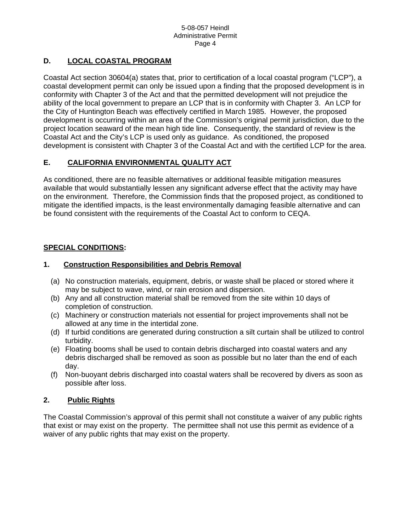# **D. LOCAL COASTAL PROGRAM**

Coastal Act section 30604(a) states that, prior to certification of a local coastal program ("LCP"), a coastal development permit can only be issued upon a finding that the proposed development is in conformity with Chapter 3 of the Act and that the permitted development will not prejudice the ability of the local government to prepare an LCP that is in conformity with Chapter 3. An LCP for the City of Huntington Beach was effectively certified in March 1985. However, the proposed development is occurring within an area of the Commission's original permit jurisdiction, due to the project location seaward of the mean high tide line. Consequently, the standard of review is the Coastal Act and the City's LCP is used only as guidance. As conditioned, the proposed development is consistent with Chapter 3 of the Coastal Act and with the certified LCP for the area.

# **E. CALIFORNIA ENVIRONMENTAL QUALITY ACT**

As conditioned, there are no feasible alternatives or additional feasible mitigation measures available that would substantially lessen any significant adverse effect that the activity may have on the environment. Therefore, the Commission finds that the proposed project, as conditioned to mitigate the identified impacts, is the least environmentally damaging feasible alternative and can be found consistent with the requirements of the Coastal Act to conform to CEQA.

# **SPECIAL CONDITIONS:**

## **1. Construction Responsibilities and Debris Removal**

- (a) No construction materials, equipment, debris, or waste shall be placed or stored where it may be subject to wave, wind, or rain erosion and dispersion.
- (b) Any and all construction material shall be removed from the site within 10 days of completion of construction.
- (c) Machinery or construction materials not essential for project improvements shall not be allowed at any time in the intertidal zone.
- (d) If turbid conditions are generated during construction a silt curtain shall be utilized to control turbidity.
- (e) Floating booms shall be used to contain debris discharged into coastal waters and any debris discharged shall be removed as soon as possible but no later than the end of each day.
- (f) Non-buoyant debris discharged into coastal waters shall be recovered by divers as soon as possible after loss.

# **2. Public Rights**

The Coastal Commission's approval of this permit shall not constitute a waiver of any public rights that exist or may exist on the property. The permittee shall not use this permit as evidence of a waiver of any public rights that may exist on the property.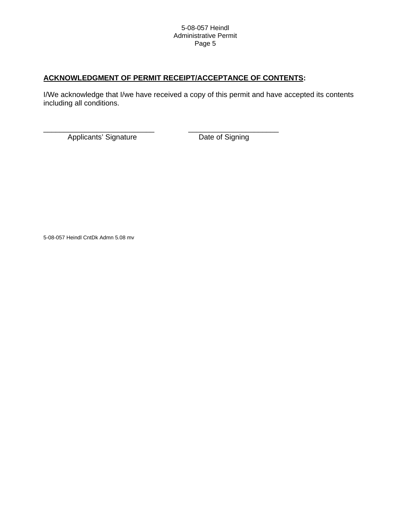# **ACKNOWLEDGMENT OF PERMIT RECEIPT/ACCEPTANCE OF CONTENTS:**

\_\_\_\_\_\_\_\_\_\_\_\_\_\_\_\_\_\_\_\_\_\_\_\_\_\_\_ \_\_\_\_\_\_\_\_\_\_\_\_\_\_\_\_\_\_\_\_\_\_

I/We acknowledge that I/we have received a copy of this permit and have accepted its contents including all conditions.

Applicants' Signature **Date of Signing** 

5-08-057 Heindl CntDk Admn 5.08 mv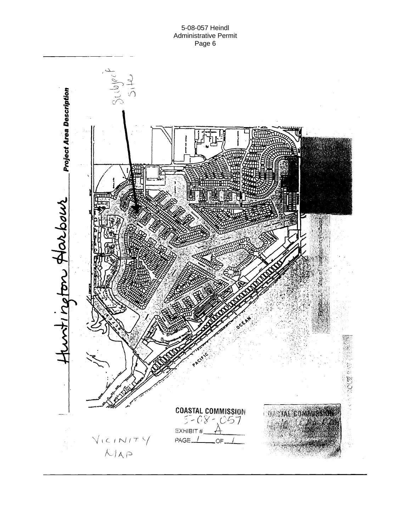